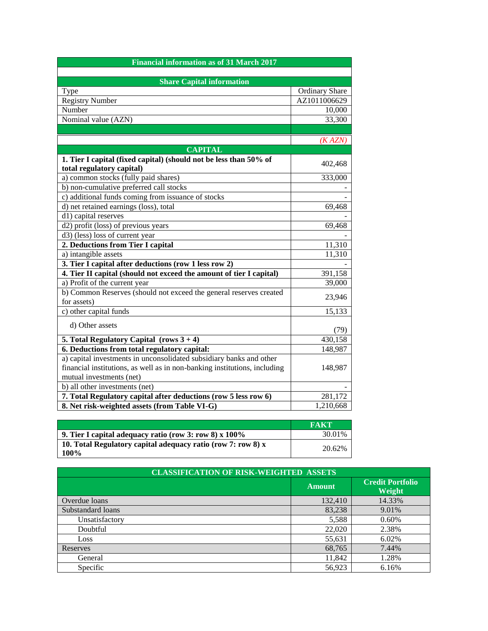| <b>Financial information as of 31 March 2017</b>                          |                       |  |
|---------------------------------------------------------------------------|-----------------------|--|
|                                                                           |                       |  |
| <b>Share Capital information</b>                                          |                       |  |
| Type                                                                      | <b>Ordinary Share</b> |  |
| <b>Registry Number</b>                                                    | AZ1011006629          |  |
| Number                                                                    | 10,000                |  |
| Nominal value (AZN)                                                       | 33,300                |  |
|                                                                           |                       |  |
|                                                                           | (KAZN)                |  |
| <b>CAPITAL</b>                                                            |                       |  |
| 1. Tier I capital (fixed capital) (should not be less than 50% of         |                       |  |
| total regulatory capital)                                                 | 402,468               |  |
| a) common stocks (fully paid shares)                                      | 333,000               |  |
| b) non-cumulative preferred call stocks                                   |                       |  |
| c) additional funds coming from issuance of stocks                        |                       |  |
| d) net retained earnings (loss), total                                    | 69,468                |  |
| d1) capital reserves                                                      |                       |  |
| d2) profit (loss) of previous years                                       | 69,468                |  |
| d3) (less) loss of current year                                           |                       |  |
| 2. Deductions from Tier I capital                                         | 11,310                |  |
| a) intangible assets                                                      | 11,310                |  |
| 3. Tier I capital after deductions (row 1 less row 2)                     |                       |  |
| 4. Tier II capital (should not exceed the amount of tier I capital)       | 391,158               |  |
| a) Profit of the current year                                             | 39,000                |  |
| b) Common Reserves (should not exceed the general reserves created        | 23,946                |  |
| for assets)                                                               |                       |  |
| $\overline{c}$ ) other capital funds                                      | 15,133                |  |
| d) Other assets                                                           |                       |  |
|                                                                           | (79)                  |  |
| 5. Total Regulatory Capital (rows $3 + 4$ )                               | 430,158               |  |
| 6. Deductions from total regulatory capital:                              | 148,987               |  |
| a) capital investments in unconsolidated subsidiary banks and other       |                       |  |
| financial institutions, as well as in non-banking institutions, including | 148,987               |  |
| mutual investments (net)                                                  |                       |  |
| b) all other investments (net)                                            |                       |  |
| 7. Total Regulatory capital after deductions (row 5 less row 6)           | 281,172               |  |
| 8. Net risk-weighted assets (from Table VI-G)                             | 1,210,668             |  |

|                                                                      | <b>FAKT</b> |
|----------------------------------------------------------------------|-------------|
| 9. Tier I capital adequacy ratio (row 3: row 8) x $100\%$            | 30.01%      |
| 10. Total Regulatory capital adequacy ratio (row 7: row 8) x<br>100% | 20.62%      |

| <b>CLASSIFICATION OF RISK-WEIGHTED ASSETS</b> |               |                                   |
|-----------------------------------------------|---------------|-----------------------------------|
|                                               | <b>Amount</b> | <b>Credit Portfolio</b><br>Weight |
| Overdue loans                                 | 132,410       | 14.33%                            |
| Substandard loans                             | 83,238        | 9.01%                             |
| Unsatisfactory                                | 5,588         | 0.60%                             |
| Doubtful                                      | 22,020        | 2.38%                             |
| Loss                                          | 55,631        | 6.02%                             |
| Reserves                                      | 68,765        | 7.44%                             |
| General                                       | 11,842        | 1.28%                             |
| Specific                                      | 56,923        | 6.16%                             |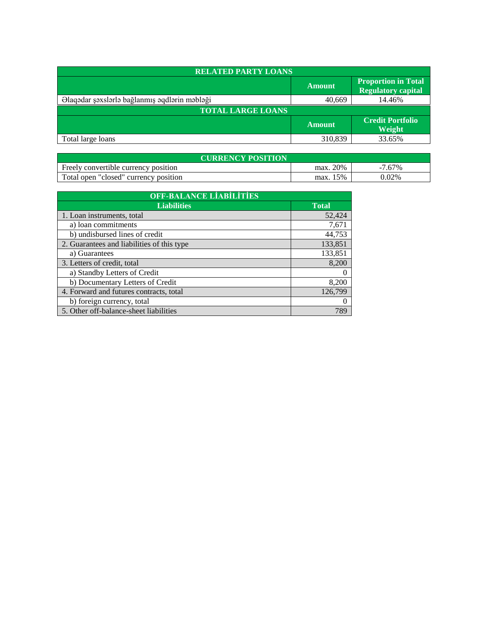| <b>RELATED PARTY LOANS</b>                    |               |                                                         |
|-----------------------------------------------|---------------|---------------------------------------------------------|
|                                               | <b>Amount</b> | <b>Proportion in Total</b><br><b>Regulatory capital</b> |
| Əlaqədar şəxslərlə bağlanmış əqdlərin məbləği | 40,669        | 14.46%                                                  |
| <b>TOTAL LARGE LOANS</b>                      |               |                                                         |
|                                               | <b>Amount</b> | <b>Credit Portfolio</b><br><b>Weight</b>                |
| Total large loans                             | 310,839       | 33.65%                                                  |

| <b>CURRENCY POSITION</b>              |          |           |  |
|---------------------------------------|----------|-----------|--|
| Freely convertible currency position  | max. 20% | $-7.67\%$ |  |
| Total open "closed" currency position | max. 15% | 0.02%     |  |

| <b>OFF-BALANCE LIABILITIES</b>             |              |  |
|--------------------------------------------|--------------|--|
| <b>Liabilities</b>                         | <b>Total</b> |  |
| 1. Loan instruments, total                 | 52,424       |  |
| a) loan commitments                        | 7,671        |  |
| b) undisbursed lines of credit             | 44,753       |  |
| 2. Guarantees and liabilities of this type | 133,851      |  |
| a) Guarantees                              | 133,851      |  |
| 3. Letters of credit, total                | 8,200        |  |
| a) Standby Letters of Credit               |              |  |
| b) Documentary Letters of Credit           | 8,200        |  |
| 4. Forward and futures contracts, total    | 126,799      |  |
| b) foreign currency, total                 |              |  |
| 5. Other off-balance-sheet liabilities     | 789          |  |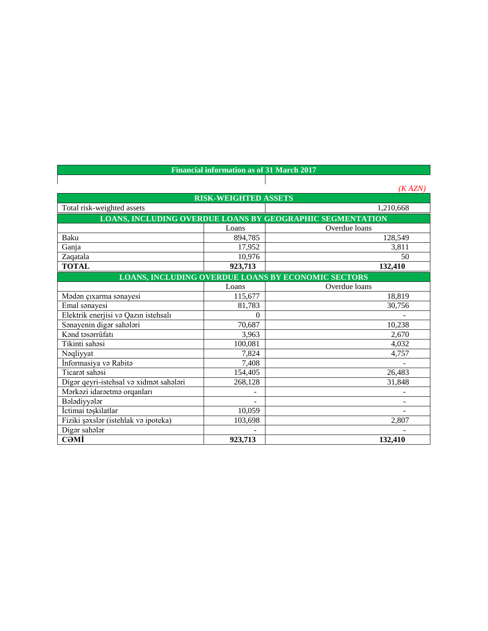| <b>Financial information as of 31 March 2017</b>          |                             |                                                           |  |
|-----------------------------------------------------------|-----------------------------|-----------------------------------------------------------|--|
|                                                           |                             |                                                           |  |
|                                                           |                             | (KAZN)                                                    |  |
|                                                           | <b>RISK-WEIGHTED ASSETS</b> |                                                           |  |
| Total risk-weighted assets                                |                             | 1,210,668                                                 |  |
|                                                           |                             | LOANS, INCLUDING OVERDUE LOANS BY GEOGRAPHIC SEGMENTATION |  |
|                                                           | Loans                       | Overdue loans                                             |  |
| Baku                                                      | 894,785                     | 128,549                                                   |  |
| Ganja                                                     | 17,952                      | 3,811                                                     |  |
| Zaqatala                                                  | 10,976                      | 50                                                        |  |
| <b>TOTAL</b>                                              | 923,713                     | 132,410                                                   |  |
| <b>LOANS, INCLUDING OVERDUE LOANS BY ECONOMIC SECTORS</b> |                             |                                                           |  |
|                                                           | Loans                       | Overdue loans                                             |  |
| Mədən çıxarma sənayesi                                    | 115,677                     | 18,819                                                    |  |
| Emal sanayesi                                             | 81,783                      | 30,756                                                    |  |
| Elektrik enerjisi və Qazın istehsalı                      | $\theta$                    |                                                           |  |
| Sanayenin digar sahalari                                  | 70,687                      | 10,238                                                    |  |
| Kand tasarrüfatı                                          | 3,963                       | 2,670                                                     |  |
| Tikinti sahasi                                            | 100,081                     | 4,032                                                     |  |
| Nəqliyyat                                                 | 7,824                       | 4,757                                                     |  |
| İnformasiya və Rabitə                                     | 7,408                       |                                                           |  |
| Ticarət sahəsi                                            | 154,405                     | 26,483                                                    |  |
| Digər qeyri-istehsal və xidmət sahələri                   | 268,128                     | 31,848                                                    |  |
| Markazi idaraetma orqanları                               |                             |                                                           |  |
| Bələdiyyələr                                              |                             |                                                           |  |
| İctimai təşkilatlar                                       | 10,059                      |                                                           |  |
| Fiziki şəxslər (istehlak və ipoteka)                      | 103,698                     | 2,807                                                     |  |
| Digər sahələr                                             |                             |                                                           |  |
| СӘМІ                                                      | 923,713                     | 132,410                                                   |  |